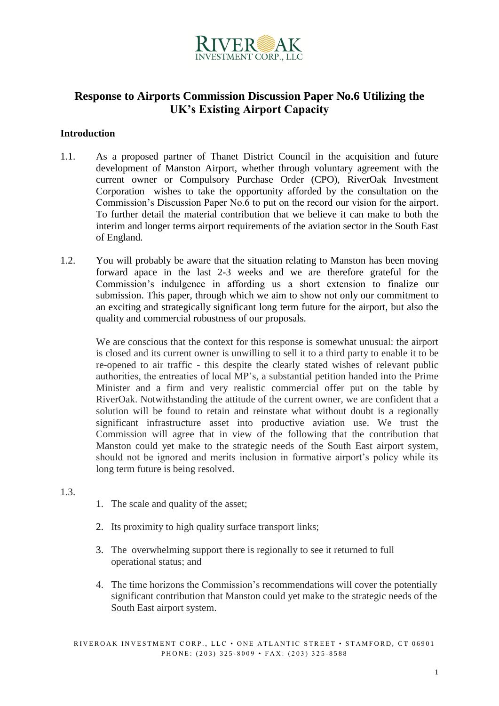

# **Response to Airports Commission Discussion Paper No.6 Utilizing the UK's Existing Airport Capacity**

### **Introduction**

- 1.1. As a proposed partner of Thanet District Council in the acquisition and future development of Manston Airport, whether through voluntary agreement with the current owner or Compulsory Purchase Order (CPO), RiverOak Investment Corporation wishes to take the opportunity afforded by the consultation on the Commission's Discussion Paper No.6 to put on the record our vision for the airport. To further detail the material contribution that we believe it can make to both the interim and longer terms airport requirements of the aviation sector in the South East of England.
- 1.2. You will probably be aware that the situation relating to Manston has been moving forward apace in the last 2-3 weeks and we are therefore grateful for the Commission's indulgence in affording us a short extension to finalize our submission. This paper, through which we aim to show not only our commitment to an exciting and strategically significant long term future for the airport, but also the quality and commercial robustness of our proposals.

We are conscious that the context for this response is somewhat unusual: the airport is closed and its current owner is unwilling to sell it to a third party to enable it to be re-opened to air traffic - this despite the clearly stated wishes of relevant public authorities, the entreaties of local MP's, a substantial petition handed into the Prime Minister and a firm and very realistic commercial offer put on the table by RiverOak. Notwithstanding the attitude of the current owner, we are confident that a solution will be found to retain and reinstate what without doubt is a regionally significant infrastructure asset into productive aviation use. We trust the Commission will agree that in view of the following that the contribution that Manston could yet make to the strategic needs of the South East airport system, should not be ignored and merits inclusion in formative airport's policy while its long term future is being resolved.

- 1.3.
- 1. The scale and quality of the asset;
- 2. Its proximity to high quality surface transport links;
- 3. The overwhelming support there is regionally to see it returned to full operational status; and
- 4. The time horizons the Commission's recommendations will cover the potentially significant contribution that Manston could yet make to the strategic needs of the South East airport system.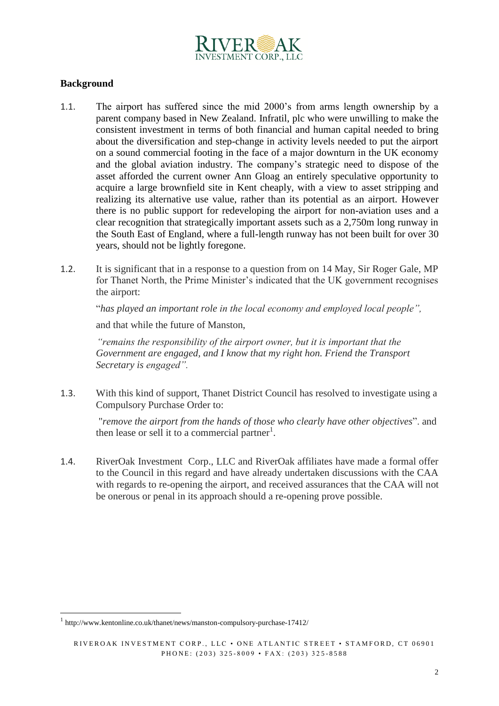

### **Background**

- 1.1. The airport has suffered since the mid 2000's from arms length ownership by a parent company based in New Zealand. Infratil, plc who were unwilling to make the consistent investment in terms of both financial and human capital needed to bring about the diversification and step-change in activity levels needed to put the airport on a sound commercial footing in the face of a major downturn in the UK economy and the global aviation industry. The company's strategic need to dispose of the asset afforded the current owner Ann Gloag an entirely speculative opportunity to acquire a large brownfield site in Kent cheaply, with a view to asset stripping and realizing its alternative use value, rather than its potential as an airport. However there is no public support for redeveloping the airport for non-aviation uses and a clear recognition that strategically important assets such as a 2,750m long runway in the South East of England, where a full-length runway has not been built for over 30 years, should not be lightly foregone.
- 1.2. It is significant that in a response to a question from on 14 May, Sir Roger Gale, MP for Thanet North, the Prime Minister's indicated that the UK government recognises the airport:

"*has played an important role in the local economy and employed local people",* 

and that while the future of Manston,

*"remains the responsibility of the airport owner, but it is important that the Government are engaged, and I know that my right hon. Friend the Transport Secretary is engaged".* 

1.3. With this kind of support, Thanet District Council has resolved to investigate using a Compulsory Purchase Order to:

"*remove the airport from the hands of those who clearly have other objectives*". and then lease or sell it to a commercial partner<sup>1</sup>.

1.4. RiverOak Investment Corp., LLC and RiverOak affiliates have made a formal offer to the Council in this regard and have already undertaken discussions with the CAA with regards to re-opening the airport, and received assurances that the CAA will not be onerous or penal in its approach should a re-opening prove possible.

-

<sup>1</sup> http://www.kentonline.co.uk/thanet/news/manston-compulsory-purchase-17412/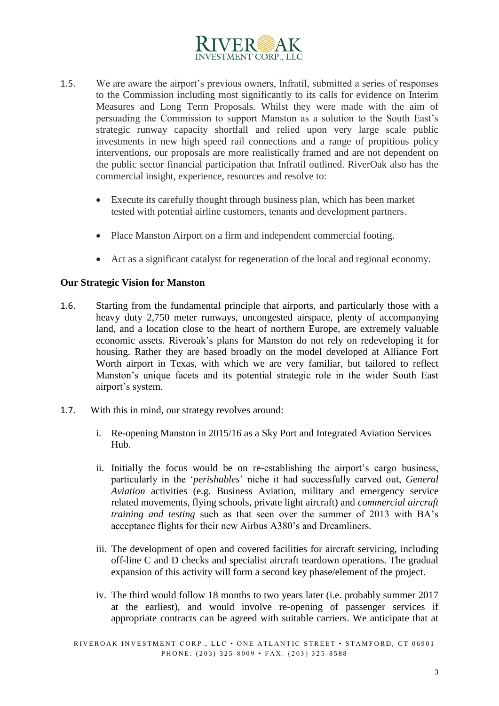

- 1.5. We are aware the airport's previous owners, Infratil, submitted a series of responses to the Commission including most significantly to its calls for evidence on Interim Measures and Long Term Proposals. Whilst they were made with the aim of persuading the Commission to support Manston as a solution to the South East's strategic runway capacity shortfall and relied upon very large scale public investments in new high speed rail connections and a range of propitious policy interventions, our proposals are more realistically framed and are not dependent on the public sector financial participation that Infratil outlined. RiverOak also has the commercial insight, experience, resources and resolve to:
	- Execute its carefully thought through business plan, which has been market tested with potential airline customers, tenants and development partners.
	- Place Manston Airport on a firm and independent commercial footing.
	- Act as a significant catalyst for regeneration of the local and regional economy.

#### **Our Strategic Vision for Manston**

- 1.6. Starting from the fundamental principle that airports, and particularly those with a heavy duty 2,750 meter runways, uncongested airspace, plenty of accompanying land, and a location close to the heart of northern Europe, are extremely valuable economic assets. Riveroak's plans for Manston do not rely on redeveloping it for housing. Rather they are based broadly on the model developed at Alliance Fort Worth airport in Texas, with which we are very familiar, but tailored to reflect Manston's unique facets and its potential strategic role in the wider South East airport's system.
- 1.7. With this in mind, our strategy revolves around:
	- i. Re-opening Manston in 2015/16 as a Sky Port and Integrated Aviation Services Hub.
	- ii. Initially the focus would be on re-establishing the airport's cargo business, particularly in the '*perishables*' niche it had successfully carved out, *General Aviation* activities (e.g. Business Aviation, military and emergency service related movements, flying schools, private light aircraft) and *commercial aircraft training and testing* such as that seen over the summer of 2013 with BA's acceptance flights for their new Airbus A380's and Dreamliners.
	- iii. The development of open and covered facilities for aircraft servicing, including off-line C and D checks and specialist aircraft teardown operations. The gradual expansion of this activity will form a second key phase/element of the project.
	- iv. The third would follow 18 months to two years later (i.e. probably summer 2017 at the earliest), and would involve re-opening of passenger services if appropriate contracts can be agreed with suitable carriers. We anticipate that at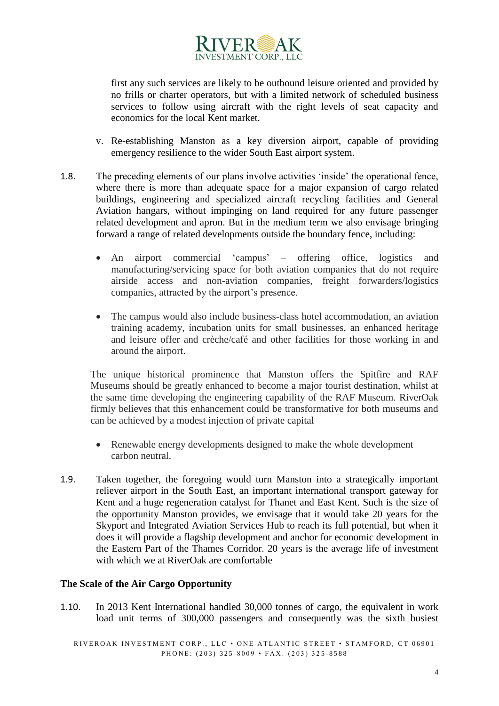

first any such services are likely to be outbound leisure oriented and provided by no frills or charter operators, but with a limited network of scheduled business services to follow using aircraft with the right levels of seat capacity and economics for the local Kent market.

- v. Re-establishing Manston as a key diversion airport, capable of providing emergency resilience to the wider South East airport system.
- 1.8. The preceding elements of our plans involve activities 'inside' the operational fence, where there is more than adequate space for a major expansion of cargo related buildings, engineering and specialized aircraft recycling facilities and General Aviation hangars, without impinging on land required for any future passenger related development and apron. But in the medium term we also envisage bringing forward a range of related developments outside the boundary fence, including:
	- An airport commercial 'campus' offering office, logistics and manufacturing/servicing space for both aviation companies that do not require airside access and non-aviation companies, freight forwarders/logistics companies, attracted by the airport's presence.
	- The campus would also include business-class hotel accommodation, an aviation training academy, incubation units for small businesses, an enhanced heritage and leisure offer and crèche/café and other facilities for those working in and around the airport.

The unique historical prominence that Manston offers the Spitfire and RAF Museums should be greatly enhanced to become a major tourist destination, whilst at the same time developing the engineering capability of the RAF Museum. RiverOak firmly believes that this enhancement could be transformative for both museums and can be achieved by a modest injection of private capital

- Renewable energy developments designed to make the whole development carbon neutral.
- 1.9. Taken together, the foregoing would turn Manston into a strategically important reliever airport in the South East, an important international transport gateway for Kent and a huge regeneration catalyst for Thanet and East Kent. Such is the size of the opportunity Manston provides, we envisage that it would take 20 years for the Skyport and Integrated Aviation Services Hub to reach its full potential, but when it does it will provide a flagship development and anchor for economic development in the Eastern Part of the Thames Corridor. 20 years is the average life of investment with which we at RiverOak are comfortable

# **The Scale of the Air Cargo Opportunity**

1.10. In 2013 Kent International handled 30,000 tonnes of cargo, the equivalent in work load unit terms of 300,000 passengers and consequently was the sixth busiest

RIVEROAK INVESTMENT CORP., LLC  $\cdot$  ONE ATLANTIC STREET  $\cdot$  STAMFORD, CT 06901 PHONE: (203) 325-8009 • FAX: (203) 325-8588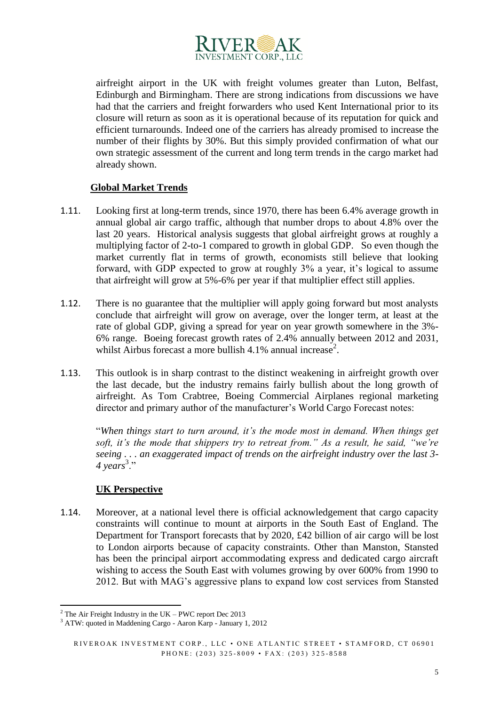

airfreight airport in the UK with freight volumes greater than Luton, Belfast, Edinburgh and Birmingham. There are strong indications from discussions we have had that the carriers and freight forwarders who used Kent International prior to its closure will return as soon as it is operational because of its reputation for quick and efficient turnarounds. Indeed one of the carriers has already promised to increase the number of their flights by 30%. But this simply provided confirmation of what our own strategic assessment of the current and long term trends in the cargo market had already shown.

# **Global Market Trends**

- 1.11. Looking first at long-term trends, since 1970, there has been 6.4% average growth in annual global air cargo traffic, although that number drops to about 4.8% over the last 20 years. Historical analysis suggests that global airfreight grows at roughly a multiplying factor of 2-to-1 compared to growth in global GDP. So even though the market currently flat in terms of growth, economists still believe that looking forward, with GDP expected to grow at roughly 3% a year, it's logical to assume that airfreight will grow at 5%-6% per year if that multiplier effect still applies.
- 1.12. There is no guarantee that the multiplier will apply going forward but most analysts conclude that airfreight will grow on average, over the longer term, at least at the rate of global GDP, giving a spread for year on year growth somewhere in the 3%- 6% range. Boeing forecast growth rates of 2.4% annually between 2012 and 2031, whilst Airbus forecast a more bullish 4.1% annual increase<sup>2</sup>.
- 1.13. This outlook is in sharp contrast to the distinct weakening in airfreight growth over the last decade, but the industry remains fairly bullish about the long growth of airfreight. As Tom Crabtree, Boeing Commercial Airplanes regional marketing director and primary author of the manufacturer's World Cargo Forecast notes:

"*When things start to turn around, it's the mode most in demand. When things get soft, it's the mode that shippers try to retreat from." As a result, he said, "we're seeing . . . an exaggerated impact of trends on the airfreight industry over the last 3-* 4 years<sup>3</sup>."

# **UK Perspective**

1.14. Moreover, at a national level there is official acknowledgement that cargo capacity constraints will continue to mount at airports in the South East of England. The Department for Transport forecasts that by 2020, £42 billion of air cargo will be lost to London airports because of capacity constraints. Other than Manston, Stansted has been the principal airport accommodating express and dedicated cargo aircraft wishing to access the South East with volumes growing by over 600% from 1990 to 2012. But with MAG's aggressive plans to expand low cost services from Stansted

<sup>-</sup> $2$  The Air Freight Industry in the UK – PWC report Dec 2013

<sup>&</sup>lt;sup>3</sup> ATW: quoted in Maddening Cargo - Aaron Karp - January 1, 2012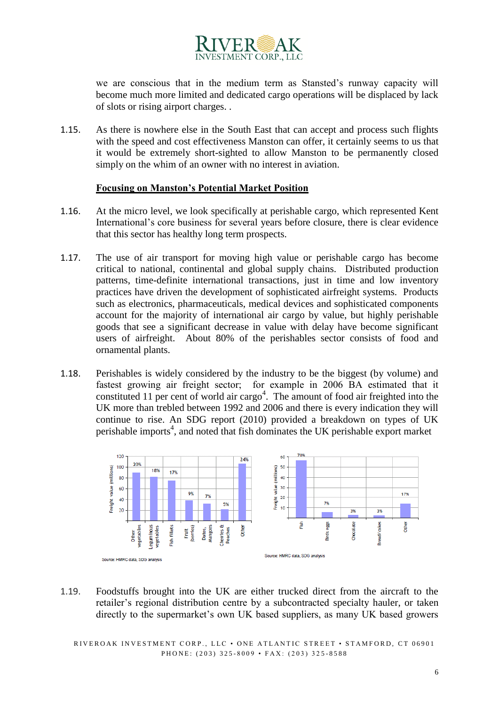

we are conscious that in the medium term as Stansted's runway capacity will become much more limited and dedicated cargo operations will be displaced by lack of slots or rising airport charges. .

1.15. As there is nowhere else in the South East that can accept and process such flights with the speed and cost effectiveness Manston can offer, it certainly seems to us that it would be extremely short-sighted to allow Manston to be permanently closed simply on the whim of an owner with no interest in aviation.

#### **Focusing on Manston's Potential Market Position**

- 1.16. At the micro level, we look specifically at perishable cargo, which represented Kent International's core business for several years before closure, there is clear evidence that this sector has healthy long term prospects.
- 1.17. The use of air transport for moving high value or perishable cargo has become critical to national, continental and global supply chains. Distributed production patterns, time-definite international transactions, just in time and low inventory practices have driven the development of sophisticated airfreight systems. Products such as electronics, pharmaceuticals, medical devices and sophisticated components account for the majority of international air cargo by value, but highly perishable goods that see a significant decrease in value with delay have become significant users of airfreight. About 80% of the perishables sector consists of food and ornamental plants.
- 1.18. Perishables is widely considered by the industry to be the biggest (by volume) and fastest growing air freight sector; for example in 2006 BA estimated that it constituted 11 per cent of world air cargo<sup>4</sup>. The amount of food air freighted into the UK more than trebled between 1992 and 2006 and there is every indication they will continue to rise. An SDG report (2010) provided a breakdown on types of UK perishable imports<sup>4</sup>, and noted that fish dominates the UK perishable export market



1.19. Foodstuffs brought into the UK are either trucked direct from the aircraft to the retailer's regional distribution centre by a subcontracted specialty hauler, or taken directly to the supermarket's own UK based suppliers, as many UK based growers

RIVEROAK INVESTMENT CORP., LLC  $\cdot$  ONE ATLANTIC STREET  $\cdot$  STAMFORD, CT 06901 PHONE: (203) 325-8009 • FAX: (203) 325-8588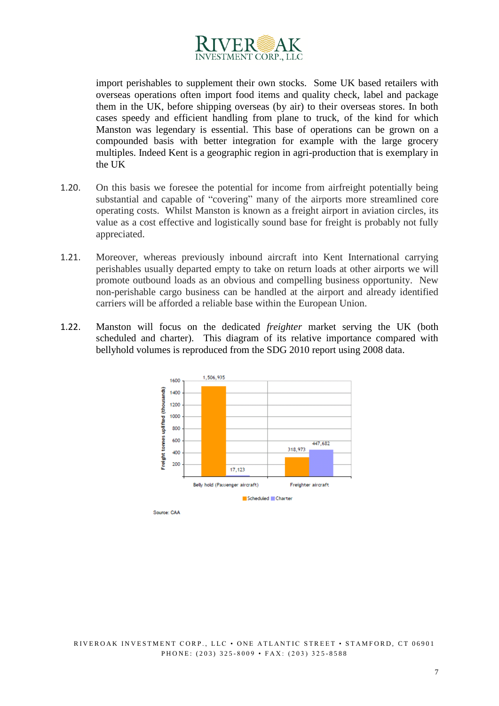

import perishables to supplement their own stocks. Some UK based retailers with overseas operations often import food items and quality check, label and package them in the UK, before shipping overseas (by air) to their overseas stores. In both cases speedy and efficient handling from plane to truck, of the kind for which Manston was legendary is essential. This base of operations can be grown on a compounded basis with better integration for example with the large grocery multiples. Indeed Kent is a geographic region in agri-production that is exemplary in the UK

- 1.20. On this basis we foresee the potential for income from airfreight potentially being substantial and capable of "covering" many of the airports more streamlined core operating costs. Whilst Manston is known as a freight airport in aviation circles, its value as a cost effective and logistically sound base for freight is probably not fully appreciated.
- 1.21. Moreover, whereas previously inbound aircraft into Kent International carrying perishables usually departed empty to take on return loads at other airports we will promote outbound loads as an obvious and compelling business opportunity. New non-perishable cargo business can be handled at the airport and already identified carriers will be afforded a reliable base within the European Union.
- 1.22. Manston will focus on the dedicated *freighter* market serving the UK (both scheduled and charter). This diagram of its relative importance compared with bellyhold volumes is reproduced from the SDG 2010 report using 2008 data.

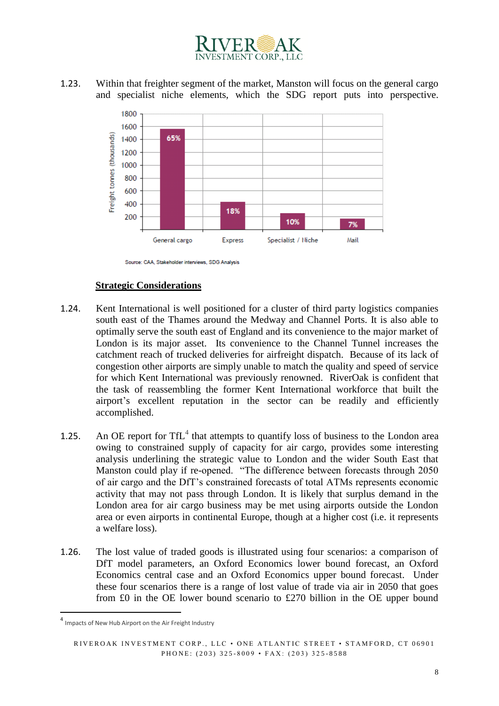

1.23. Within that freighter segment of the market, Manston will focus on the general cargo and specialist niche elements, which the SDG report puts into perspective.



Source: CAA, Stakeholder interviews, SDG Analysis

#### **Strategic Considerations**

- 1.24. Kent International is well positioned for a cluster of third party logistics companies south east of the Thames around the Medway and Channel Ports. It is also able to optimally serve the south east of England and its convenience to the major market of London is its major asset. Its convenience to the Channel Tunnel increases the catchment reach of trucked deliveries for airfreight dispatch. Because of its lack of congestion other airports are simply unable to match the quality and speed of service for which Kent International was previously renowned. RiverOak is confident that the task of reassembling the former Kent International workforce that built the airport's excellent reputation in the sector can be readily and efficiently accomplished.
- 1.25. An OE report for  $TfL<sup>4</sup>$  that attempts to quantify loss of business to the London area owing to constrained supply of capacity for air cargo, provides some interesting analysis underlining the strategic value to London and the wider South East that Manston could play if re-opened. "The difference between forecasts through 2050 of air cargo and the DfT's constrained forecasts of total ATMs represents economic activity that may not pass through London. It is likely that surplus demand in the London area for air cargo business may be met using airports outside the London area or even airports in continental Europe, though at a higher cost (i.e. it represents a welfare loss).
- 1.26. The lost value of traded goods is illustrated using four scenarios: a comparison of DfT model parameters, an Oxford Economics lower bound forecast, an Oxford Economics central case and an Oxford Economics upper bound forecast. Under these four scenarios there is a range of lost value of trade via air in 2050 that goes from £0 in the OE lower bound scenario to £270 billion in the OE upper bound

1

<sup>4</sup> Impacts of New Hub Airport on the Air Freight Industry

RIVEROAK INVESTMENT CORP., LLC · ONE ATLANTIC STREET · STAMFORD, CT 06901 PHONE: (203) 325-8009 • FAX: (203) 325-8588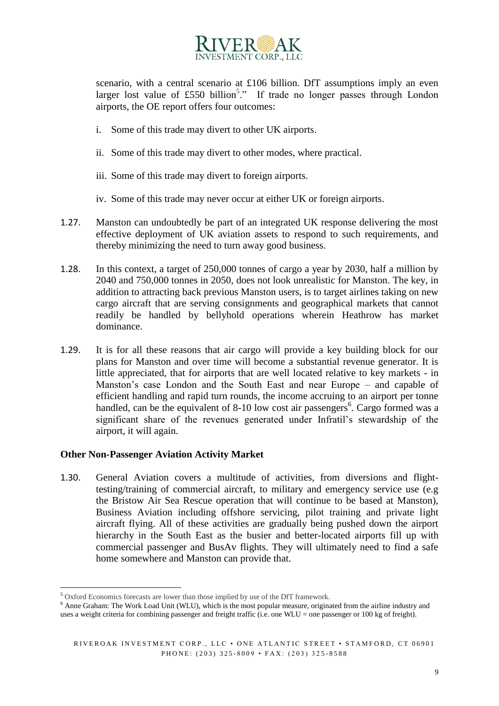

scenario, with a central scenario at £106 billion. DfT assumptions imply an even larger lost value of £550 billion<sup>5</sup>." If trade no longer passes through London airports, the OE report offers four outcomes:

- i. Some of this trade may divert to other UK airports.
- ii. Some of this trade may divert to other modes, where practical.
- iii. Some of this trade may divert to foreign airports.
- iv. Some of this trade may never occur at either UK or foreign airports.
- 1.27. Manston can undoubtedly be part of an integrated UK response delivering the most effective deployment of UK aviation assets to respond to such requirements, and thereby minimizing the need to turn away good business.
- 1.28. In this context, a target of 250,000 tonnes of cargo a year by 2030, half a million by 2040 and 750,000 tonnes in 2050, does not look unrealistic for Manston. The key, in addition to attracting back previous Manston users, is to target airlines taking on new cargo aircraft that are serving consignments and geographical markets that cannot readily be handled by bellyhold operations wherein Heathrow has market dominance.
- 1.29. It is for all these reasons that air cargo will provide a key building block for our plans for Manston and over time will become a substantial revenue generator. It is little appreciated, that for airports that are well located relative to key markets - in Manston's case London and the South East and near Europe – and capable of efficient handling and rapid turn rounds, the income accruing to an airport per tonne handled, can be the equivalent of 8-10 low cost air passengers<sup>6</sup>. Cargo formed was a significant share of the revenues generated under Infratil's stewardship of the airport, it will again.

# **Other Non-Passenger Aviation Activity Market**

1.30. General Aviation covers a multitude of activities, from diversions and flighttesting/training of commercial aircraft, to military and emergency service use (e.g the Bristow Air Sea Rescue operation that will continue to be based at Manston), Business Aviation including offshore servicing, pilot training and private light aircraft flying. All of these activities are gradually being pushed down the airport hierarchy in the South East as the busier and better-located airports fill up with commercial passenger and BusAv flights. They will ultimately need to find a safe home somewhere and Manston can provide that.

<sup>-</sup><sup>5</sup> Oxford Economics forecasts are lower than those implied by use of the DfT framework.

<sup>&</sup>lt;sup>6</sup> Anne Graham: The Work Load Unit (WLU), which is the most popular measure, originated from the airline industry and uses a weight criteria for combining passenger and freight traffic (i.e. one WLU = one passenger or 100 kg of freight).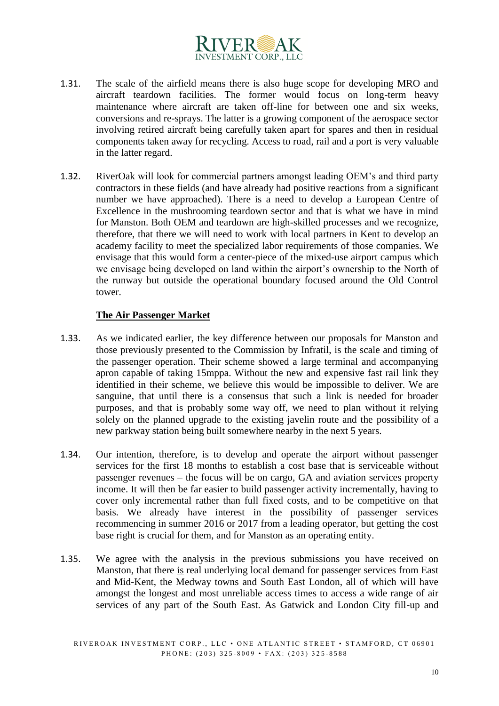

- 1.31. The scale of the airfield means there is also huge scope for developing MRO and aircraft teardown facilities. The former would focus on long-term heavy maintenance where aircraft are taken off-line for between one and six weeks, conversions and re-sprays. The latter is a growing component of the aerospace sector involving retired aircraft being carefully taken apart for spares and then in residual components taken away for recycling. Access to road, rail and a port is very valuable in the latter regard.
- 1.32. RiverOak will look for commercial partners amongst leading OEM's and third party contractors in these fields (and have already had positive reactions from a significant number we have approached). There is a need to develop a European Centre of Excellence in the mushrooming teardown sector and that is what we have in mind for Manston. Both OEM and teardown are high-skilled processes and we recognize, therefore, that there we will need to work with local partners in Kent to develop an academy facility to meet the specialized labor requirements of those companies. We envisage that this would form a center-piece of the mixed-use airport campus which we envisage being developed on land within the airport's ownership to the North of the runway but outside the operational boundary focused around the Old Control tower.

### **The Air Passenger Market**

- 1.33. As we indicated earlier, the key difference between our proposals for Manston and those previously presented to the Commission by Infratil, is the scale and timing of the passenger operation. Their scheme showed a large terminal and accompanying apron capable of taking 15mppa. Without the new and expensive fast rail link they identified in their scheme, we believe this would be impossible to deliver. We are sanguine, that until there is a consensus that such a link is needed for broader purposes, and that is probably some way off, we need to plan without it relying solely on the planned upgrade to the existing javelin route and the possibility of a new parkway station being built somewhere nearby in the next 5 years.
- 1.34. Our intention, therefore, is to develop and operate the airport without passenger services for the first 18 months to establish a cost base that is serviceable without passenger revenues – the focus will be on cargo, GA and aviation services property income. It will then be far easier to build passenger activity incrementally, having to cover only incremental rather than full fixed costs, and to be competitive on that basis. We already have interest in the possibility of passenger services recommencing in summer 2016 or 2017 from a leading operator, but getting the cost base right is crucial for them, and for Manston as an operating entity.
- 1.35. We agree with the analysis in the previous submissions you have received on Manston, that there is real underlying local demand for passenger services from East and Mid-Kent, the Medway towns and South East London, all of which will have amongst the longest and most unreliable access times to access a wide range of air services of any part of the South East. As Gatwick and London City fill-up and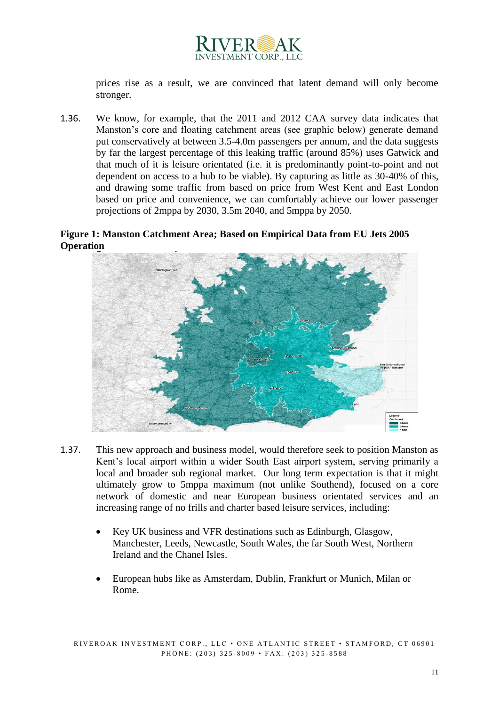

prices rise as a result, we are convinced that latent demand will only become stronger.

1.36. We know, for example, that the 2011 and 2012 CAA survey data indicates that Manston's core and floating catchment areas (see graphic below) generate demand put conservatively at between 3.5-4.0m passengers per annum, and the data suggests by far the largest percentage of this leaking traffic (around 85%) uses Gatwick and that much of it is leisure orientated (i.e. it is predominantly point-to-point and not dependent on access to a hub to be viable). By capturing as little as 30-40% of this, and drawing some traffic from based on price from West Kent and East London based on price and convenience, we can comfortably achieve our lower passenger projections of 2mppa by 2030, 3.5m 2040, and 5mppa by 2050.

### **Figure 1: Manston Catchment Area; Based on Empirical Data from EU Jets 2005 Operation**



- 1.37. This new approach and business model, would therefore seek to position Manston as Kent's local airport within a wider South East airport system, serving primarily a local and broader sub regional market. Our long term expectation is that it might ultimately grow to 5mppa maximum (not unlike Southend), focused on a core network of domestic and near European business orientated services and an increasing range of no frills and charter based leisure services, including:
	- Key UK business and VFR destinations such as Edinburgh, Glasgow, Manchester, Leeds, Newcastle, South Wales, the far South West, Northern Ireland and the Chanel Isles.
	- European hubs like as Amsterdam, Dublin, Frankfurt or Munich, Milan or Rome.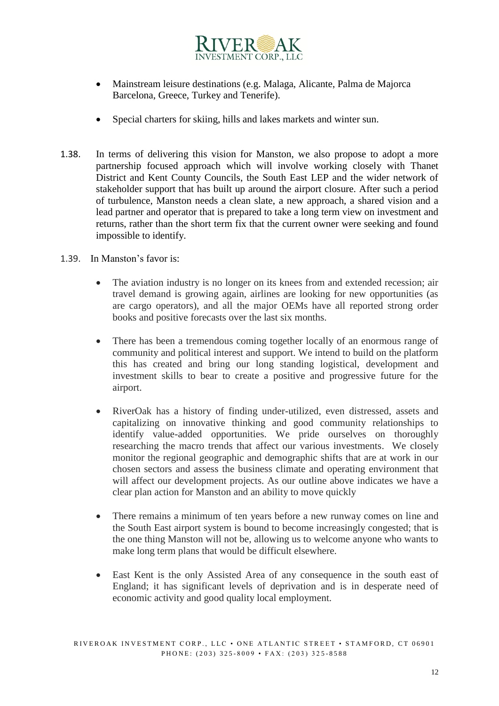

- Mainstream leisure destinations (e.g. Malaga, Alicante, Palma de Majorca Barcelona, Greece, Turkey and Tenerife).
- Special charters for skiing, hills and lakes markets and winter sun.
- 1.38. In terms of delivering this vision for Manston, we also propose to adopt a more partnership focused approach which will involve working closely with Thanet District and Kent County Councils, the South East LEP and the wider network of stakeholder support that has built up around the airport closure. After such a period of turbulence, Manston needs a clean slate, a new approach, a shared vision and a lead partner and operator that is prepared to take a long term view on investment and returns, rather than the short term fix that the current owner were seeking and found impossible to identify.
- 1.39. In Manston's favor is:
	- The aviation industry is no longer on its knees from and extended recession; air travel demand is growing again, airlines are looking for new opportunities (as are cargo operators), and all the major OEMs have all reported strong order books and positive forecasts over the last six months.
	- There has been a tremendous coming together locally of an enormous range of community and political interest and support. We intend to build on the platform this has created and bring our long standing logistical, development and investment skills to bear to create a positive and progressive future for the airport.
	- RiverOak has a history of finding under-utilized, even distressed, assets and capitalizing on innovative thinking and good community relationships to identify value-added opportunities. We pride ourselves on thoroughly researching the macro trends that affect our various investments. We closely monitor the regional geographic and demographic shifts that are at work in our chosen sectors and assess the business climate and operating environment that will affect our development projects. As our outline above indicates we have a clear plan action for Manston and an ability to move quickly
	- There remains a minimum of ten years before a new runway comes on line and the South East airport system is bound to become increasingly congested; that is the one thing Manston will not be, allowing us to welcome anyone who wants to make long term plans that would be difficult elsewhere.
	- East Kent is the only Assisted Area of any consequence in the south east of England; it has significant levels of deprivation and is in desperate need of economic activity and good quality local employment.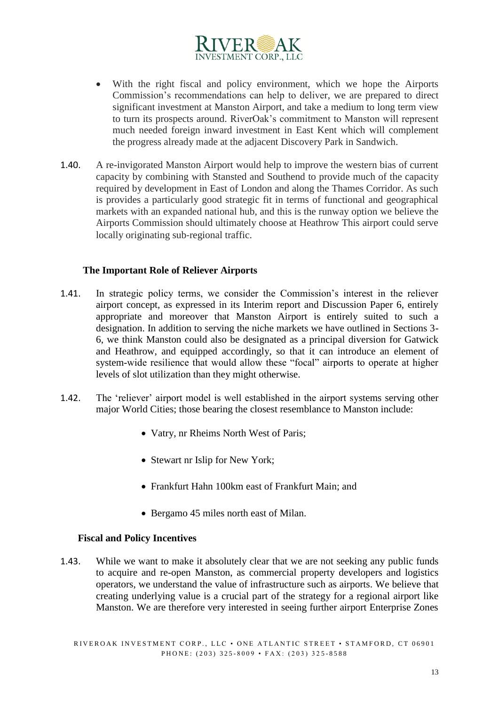

- With the right fiscal and policy environment, which we hope the Airports Commission's recommendations can help to deliver, we are prepared to direct significant investment at Manston Airport, and take a medium to long term view to turn its prospects around. RiverOak's commitment to Manston will represent much needed foreign inward investment in East Kent which will complement the progress already made at the adjacent Discovery Park in Sandwich.
- 1.40. A re-invigorated Manston Airport would help to improve the western bias of current capacity by combining with Stansted and Southend to provide much of the capacity required by development in East of London and along the Thames Corridor. As such is provides a particularly good strategic fit in terms of functional and geographical markets with an expanded national hub, and this is the runway option we believe the Airports Commission should ultimately choose at Heathrow This airport could serve locally originating sub-regional traffic.

#### **The Important Role of Reliever Airports**

- 1.41. In strategic policy terms, we consider the Commission's interest in the reliever airport concept, as expressed in its Interim report and Discussion Paper 6, entirely appropriate and moreover that Manston Airport is entirely suited to such a designation. In addition to serving the niche markets we have outlined in Sections 3- 6, we think Manston could also be designated as a principal diversion for Gatwick and Heathrow, and equipped accordingly, so that it can introduce an element of system-wide resilience that would allow these "focal" airports to operate at higher levels of slot utilization than they might otherwise.
- 1.42. The 'reliever' airport model is well established in the airport systems serving other major World Cities; those bearing the closest resemblance to Manston include:
	- Vatry, nr Rheims North West of Paris;
	- Stewart nr Islip for New York;
	- Frankfurt Hahn 100km east of Frankfurt Main; and
	- Bergamo 45 miles north east of Milan.

#### **Fiscal and Policy Incentives**

1.43. While we want to make it absolutely clear that we are not seeking any public funds to acquire and re-open Manston, as commercial property developers and logistics operators, we understand the value of infrastructure such as airports. We believe that creating underlying value is a crucial part of the strategy for a regional airport like Manston. We are therefore very interested in seeing further airport Enterprise Zones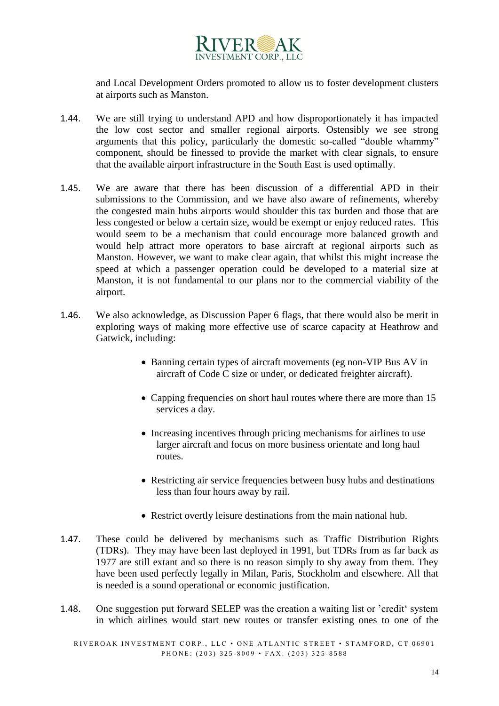

and Local Development Orders promoted to allow us to foster development clusters at airports such as Manston.

- 1.44. We are still trying to understand APD and how disproportionately it has impacted the low cost sector and smaller regional airports. Ostensibly we see strong arguments that this policy, particularly the domestic so-called "double whammy" component, should be finessed to provide the market with clear signals, to ensure that the available airport infrastructure in the South East is used optimally.
- 1.45. We are aware that there has been discussion of a differential APD in their submissions to the Commission, and we have also aware of refinements, whereby the congested main hubs airports would shoulder this tax burden and those that are less congested or below a certain size, would be exempt or enjoy reduced rates. This would seem to be a mechanism that could encourage more balanced growth and would help attract more operators to base aircraft at regional airports such as Manston. However, we want to make clear again, that whilst this might increase the speed at which a passenger operation could be developed to a material size at Manston, it is not fundamental to our plans nor to the commercial viability of the airport.
- 1.46. We also acknowledge, as Discussion Paper 6 flags, that there would also be merit in exploring ways of making more effective use of scarce capacity at Heathrow and Gatwick, including:
	- Banning certain types of aircraft movements (eg non-VIP Bus AV in aircraft of Code C size or under, or dedicated freighter aircraft).
	- Capping frequencies on short haul routes where there are more than 15 services a day.
	- Increasing incentives through pricing mechanisms for airlines to use larger aircraft and focus on more business orientate and long haul routes.
	- Restricting air service frequencies between busy hubs and destinations less than four hours away by rail.
	- Restrict overtly leisure destinations from the main national hub.
- 1.47. These could be delivered by mechanisms such as Traffic Distribution Rights (TDRs). They may have been last deployed in 1991, but TDRs from as far back as 1977 are still extant and so there is no reason simply to shy away from them. They have been used perfectly legally in Milan, Paris, Stockholm and elsewhere. All that is needed is a sound operational or economic justification.
- 1.48. One suggestion put forward SELEP was the creation a waiting list or 'credit' system in which airlines would start new routes or transfer existing ones to one of the

RIVEROAK INVESTMENT CORP., LLC · ONE ATLANTIC STREET · STAMFORD, CT 06901 PHONE: (203) 325-8009 • FAX: (203) 325-8588